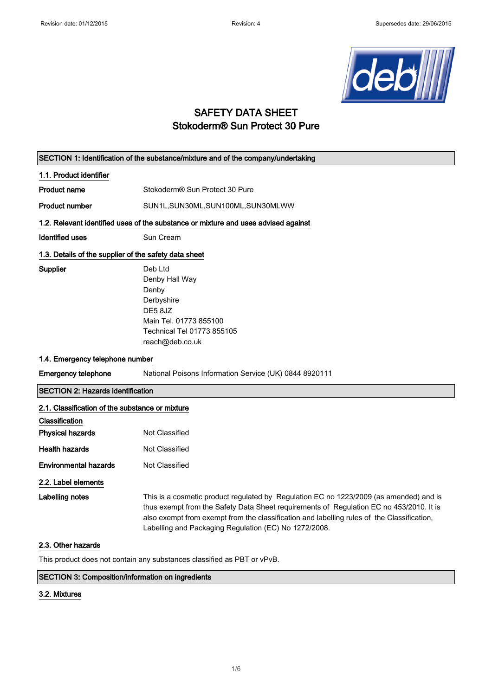

# SAFETY DATA SHEET Stokoderm® Sun Protect 30 Pure

| SECTION 1: Identification of the substance/mixture and of the company/undertaking  |                                                                                                                                                                                                                                                                                                                                          |  |
|------------------------------------------------------------------------------------|------------------------------------------------------------------------------------------------------------------------------------------------------------------------------------------------------------------------------------------------------------------------------------------------------------------------------------------|--|
| 1.1. Product identifier                                                            |                                                                                                                                                                                                                                                                                                                                          |  |
| <b>Product name</b>                                                                | Stokoderm® Sun Protect 30 Pure                                                                                                                                                                                                                                                                                                           |  |
| <b>Product number</b>                                                              | SUN1L, SUN30ML, SUN100ML, SUN30MLWW                                                                                                                                                                                                                                                                                                      |  |
| 1.2. Relevant identified uses of the substance or mixture and uses advised against |                                                                                                                                                                                                                                                                                                                                          |  |
| <b>Identified uses</b>                                                             | Sun Cream                                                                                                                                                                                                                                                                                                                                |  |
| 1.3. Details of the supplier of the safety data sheet                              |                                                                                                                                                                                                                                                                                                                                          |  |
| Supplier                                                                           | Deb Ltd<br>Denby Hall Way<br>Denby<br>Derbyshire<br>DE58JZ<br>Main Tel. 01773 855100<br>Technical Tel 01773 855105<br>reach@deb.co.uk                                                                                                                                                                                                    |  |
| 1.4. Emergency telephone number                                                    |                                                                                                                                                                                                                                                                                                                                          |  |
| <b>Emergency telephone</b>                                                         | National Poisons Information Service (UK) 0844 8920111                                                                                                                                                                                                                                                                                   |  |
| <b>SECTION 2: Hazards identification</b>                                           |                                                                                                                                                                                                                                                                                                                                          |  |
| 2.1. Classification of the substance or mixture                                    |                                                                                                                                                                                                                                                                                                                                          |  |
| Classification                                                                     |                                                                                                                                                                                                                                                                                                                                          |  |
| <b>Physical hazards</b>                                                            | Not Classified                                                                                                                                                                                                                                                                                                                           |  |
| <b>Health hazards</b>                                                              | Not Classified                                                                                                                                                                                                                                                                                                                           |  |
| <b>Environmental hazards</b>                                                       | Not Classified                                                                                                                                                                                                                                                                                                                           |  |
| 2.2. Label elements                                                                |                                                                                                                                                                                                                                                                                                                                          |  |
| <b>Labelling notes</b>                                                             | This is a cosmetic product regulated by Regulation EC no 1223/2009 (as amended) and is<br>thus exempt from the Safety Data Sheet requirements of Regulation EC no 453/2010. It is<br>also exempt from exempt from the classification and labelling rules of the Classification,<br>Labelling and Packaging Regulation (EC) No 1272/2008. |  |
| 2.3. Other hazards                                                                 |                                                                                                                                                                                                                                                                                                                                          |  |
| This product does not contain any substances classified as PBT or vPvB.            |                                                                                                                                                                                                                                                                                                                                          |  |

## SECTION 3: Composition/information on ingredients

#### 3.2. Mixtures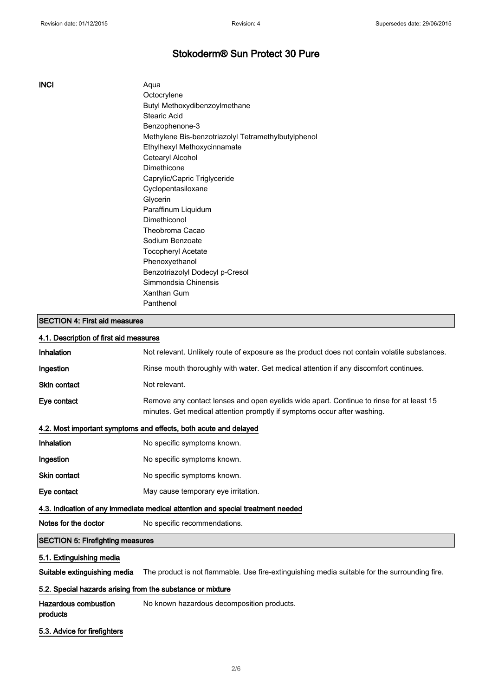INCI Aqua **Octocrylene** Butyl Methoxydibenzoylmethane Stearic Acid Benzophenone-3 Methylene Bis-benzotriazolyl Tetramethylbutylphenol Ethylhexyl Methoxycinnamate Cetearyl Alcohol Dimethicone Caprylic/Capric Triglyceride Cyclopentasiloxane Glycerin Paraffinum Liquidum Dimethiconol Theobroma Cacao Sodium Benzoate Tocopheryl Acetate Phenoxyethanol Benzotriazolyl Dodecyl p-Cresol Simmondsia Chinensis Xanthan Gum Panthenol

#### SECTION 4: First aid measures

### 4.1. Description of first aid measures

| <b>SECTION 5: Firefighting measures</b>                                         |                                                                                                                                                                      |  |
|---------------------------------------------------------------------------------|----------------------------------------------------------------------------------------------------------------------------------------------------------------------|--|
| Notes for the doctor                                                            | No specific recommendations.                                                                                                                                         |  |
| 4.3. Indication of any immediate medical attention and special treatment needed |                                                                                                                                                                      |  |
| Eye contact                                                                     | May cause temporary eye irritation.                                                                                                                                  |  |
| <b>Skin contact</b>                                                             | No specific symptoms known.                                                                                                                                          |  |
| Ingestion                                                                       | No specific symptoms known.                                                                                                                                          |  |
| Inhalation                                                                      | No specific symptoms known.                                                                                                                                          |  |
| 4.2. Most important symptoms and effects, both acute and delayed                |                                                                                                                                                                      |  |
| Eye contact                                                                     | Remove any contact lenses and open eyelids wide apart. Continue to rinse for at least 15<br>minutes. Get medical attention promptly if symptoms occur after washing. |  |
| <b>Skin contact</b>                                                             | Not relevant.                                                                                                                                                        |  |
| Ingestion                                                                       | Rinse mouth thoroughly with water. Get medical attention if any discomfort continues.                                                                                |  |
| <b>Inhalation</b>                                                               | Not relevant. Unlikely route of exposure as the product does not contain volatile substances.                                                                        |  |
|                                                                                 |                                                                                                                                                                      |  |

## 5.1. Extinguishing media

Suitable extinguishing media The product is not flammable. Use fire-extinguishing media suitable for the surrounding fire.

#### 5.2. Special hazards arising from the substance or mixture

| Hazardous combustion | No known hazardous decomposition products. |
|----------------------|--------------------------------------------|
| products             |                                            |

#### 5.3. Advice for firefighters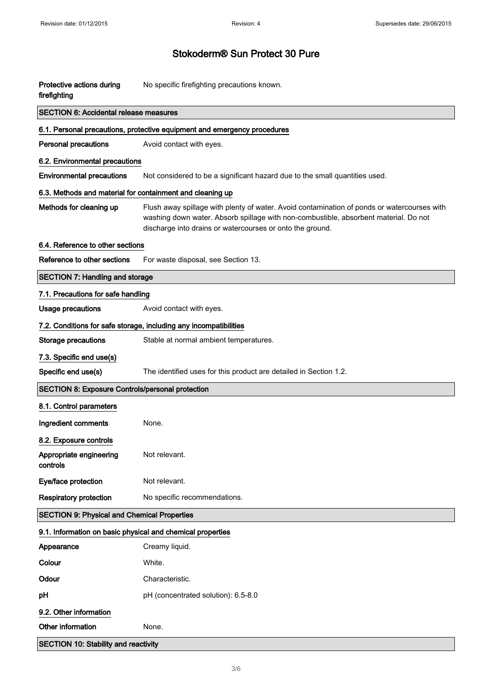| Protective actions during<br>firefighting                  | No specific firefighting precautions known.                                                                                                                                                                                                      |  |  |
|------------------------------------------------------------|--------------------------------------------------------------------------------------------------------------------------------------------------------------------------------------------------------------------------------------------------|--|--|
| <b>SECTION 6: Accidental release measures</b>              |                                                                                                                                                                                                                                                  |  |  |
|                                                            | 6.1. Personal precautions, protective equipment and emergency procedures                                                                                                                                                                         |  |  |
| <b>Personal precautions</b>                                | Avoid contact with eyes.                                                                                                                                                                                                                         |  |  |
| 6.2. Environmental precautions                             |                                                                                                                                                                                                                                                  |  |  |
| <b>Environmental precautions</b>                           | Not considered to be a significant hazard due to the small quantities used.                                                                                                                                                                      |  |  |
|                                                            | 6.3. Methods and material for containment and cleaning up                                                                                                                                                                                        |  |  |
| Methods for cleaning up                                    | Flush away spillage with plenty of water. Avoid contamination of ponds or watercourses with<br>washing down water. Absorb spillage with non-combustible, absorbent material. Do not<br>discharge into drains or watercourses or onto the ground. |  |  |
| 6.4. Reference to other sections                           |                                                                                                                                                                                                                                                  |  |  |
| Reference to other sections                                | For waste disposal, see Section 13.                                                                                                                                                                                                              |  |  |
| <b>SECTION 7: Handling and storage</b>                     |                                                                                                                                                                                                                                                  |  |  |
| 7.1. Precautions for safe handling                         |                                                                                                                                                                                                                                                  |  |  |
| <b>Usage precautions</b>                                   | Avoid contact with eyes.                                                                                                                                                                                                                         |  |  |
|                                                            | 7.2. Conditions for safe storage, including any incompatibilities                                                                                                                                                                                |  |  |
| <b>Storage precautions</b>                                 | Stable at normal ambient temperatures.                                                                                                                                                                                                           |  |  |
| 7.3. Specific end use(s)                                   |                                                                                                                                                                                                                                                  |  |  |
| Specific end use(s)                                        | The identified uses for this product are detailed in Section 1.2.                                                                                                                                                                                |  |  |
| SECTION 8: Exposure Controls/personal protection           |                                                                                                                                                                                                                                                  |  |  |
| 8.1. Control parameters                                    |                                                                                                                                                                                                                                                  |  |  |
| Ingredient comments                                        | None.                                                                                                                                                                                                                                            |  |  |
| 8.2. Exposure controls                                     |                                                                                                                                                                                                                                                  |  |  |
| Appropriate engineering<br>controls                        | Not relevant.                                                                                                                                                                                                                                    |  |  |
| Eye/face protection                                        | Not relevant.                                                                                                                                                                                                                                    |  |  |
| <b>Respiratory protection</b>                              | No specific recommendations.                                                                                                                                                                                                                     |  |  |
| <b>SECTION 9: Physical and Chemical Properties</b>         |                                                                                                                                                                                                                                                  |  |  |
| 9.1. Information on basic physical and chemical properties |                                                                                                                                                                                                                                                  |  |  |
| Appearance                                                 | Creamy liquid.                                                                                                                                                                                                                                   |  |  |
| Colour                                                     | White.                                                                                                                                                                                                                                           |  |  |
| Odour                                                      | Characteristic.                                                                                                                                                                                                                                  |  |  |
| pH                                                         | pH (concentrated solution): 6.5-8.0                                                                                                                                                                                                              |  |  |
| 9.2. Other information                                     |                                                                                                                                                                                                                                                  |  |  |
| Other information                                          | None.                                                                                                                                                                                                                                            |  |  |
| <b>SECTION 10: Stability and reactivity</b>                |                                                                                                                                                                                                                                                  |  |  |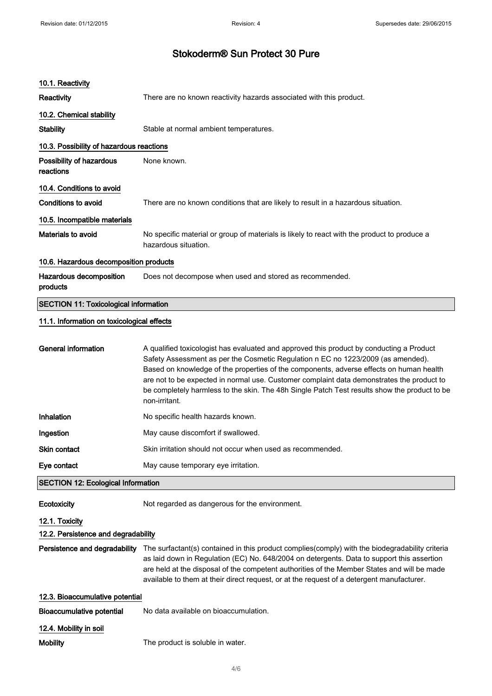| 10.1. Reactivity                             |                                                                                                                                                                                                                                                                                                                                                                                                                                                                                       |  |
|----------------------------------------------|---------------------------------------------------------------------------------------------------------------------------------------------------------------------------------------------------------------------------------------------------------------------------------------------------------------------------------------------------------------------------------------------------------------------------------------------------------------------------------------|--|
| <b>Reactivity</b>                            | There are no known reactivity hazards associated with this product.                                                                                                                                                                                                                                                                                                                                                                                                                   |  |
| 10.2. Chemical stability                     |                                                                                                                                                                                                                                                                                                                                                                                                                                                                                       |  |
| <b>Stability</b>                             | Stable at normal ambient temperatures.                                                                                                                                                                                                                                                                                                                                                                                                                                                |  |
| 10.3. Possibility of hazardous reactions     |                                                                                                                                                                                                                                                                                                                                                                                                                                                                                       |  |
| Possibility of hazardous<br>reactions        | None known.                                                                                                                                                                                                                                                                                                                                                                                                                                                                           |  |
| 10.4. Conditions to avoid                    |                                                                                                                                                                                                                                                                                                                                                                                                                                                                                       |  |
| <b>Conditions to avoid</b>                   | There are no known conditions that are likely to result in a hazardous situation.                                                                                                                                                                                                                                                                                                                                                                                                     |  |
| 10.5. Incompatible materials                 |                                                                                                                                                                                                                                                                                                                                                                                                                                                                                       |  |
| Materials to avoid                           | No specific material or group of materials is likely to react with the product to produce a<br>hazardous situation.                                                                                                                                                                                                                                                                                                                                                                   |  |
| 10.6. Hazardous decomposition products       |                                                                                                                                                                                                                                                                                                                                                                                                                                                                                       |  |
| Hazardous decomposition<br>products          | Does not decompose when used and stored as recommended.                                                                                                                                                                                                                                                                                                                                                                                                                               |  |
| <b>SECTION 11: Toxicological information</b> |                                                                                                                                                                                                                                                                                                                                                                                                                                                                                       |  |
| 11.1. Information on toxicological effects   |                                                                                                                                                                                                                                                                                                                                                                                                                                                                                       |  |
| <b>General information</b>                   | A qualified toxicologist has evaluated and approved this product by conducting a Product<br>Safety Assessment as per the Cosmetic Regulation n EC no 1223/2009 (as amended).<br>Based on knowledge of the properties of the components, adverse effects on human health<br>are not to be expected in normal use. Customer complaint data demonstrates the product to<br>be completely harmless to the skin. The 48h Single Patch Test results show the product to be<br>non-irritant. |  |
| Inhalation                                   | No specific health hazards known.                                                                                                                                                                                                                                                                                                                                                                                                                                                     |  |
| Ingestion                                    | May cause discomfort if swallowed.                                                                                                                                                                                                                                                                                                                                                                                                                                                    |  |
| Skin contact                                 | Skin irritation should not occur when used as recommended.                                                                                                                                                                                                                                                                                                                                                                                                                            |  |
| Eye contact                                  | May cause temporary eye irritation.                                                                                                                                                                                                                                                                                                                                                                                                                                                   |  |
| <b>SECTION 12: Ecological Information</b>    |                                                                                                                                                                                                                                                                                                                                                                                                                                                                                       |  |
| Ecotoxicity                                  | Not regarded as dangerous for the environment.                                                                                                                                                                                                                                                                                                                                                                                                                                        |  |
| 12.1. Toxicity                               |                                                                                                                                                                                                                                                                                                                                                                                                                                                                                       |  |
| 12.2. Persistence and degradability          |                                                                                                                                                                                                                                                                                                                                                                                                                                                                                       |  |
| Persistence and degradability                | The surfactant(s) contained in this product complies(comply) with the biodegradability criteria<br>as laid down in Regulation (EC) No. 648/2004 on detergents. Data to support this assertion<br>are held at the disposal of the competent authorities of the Member States and will be made<br>available to them at their direct request, or at the request of a detergent manufacturer.                                                                                             |  |
| 12.3. Bioaccumulative potential              |                                                                                                                                                                                                                                                                                                                                                                                                                                                                                       |  |
| <b>Bioaccumulative potential</b>             | No data available on bioaccumulation.                                                                                                                                                                                                                                                                                                                                                                                                                                                 |  |
| 12.4. Mobility in soil                       |                                                                                                                                                                                                                                                                                                                                                                                                                                                                                       |  |
| <b>Mobility</b>                              | The product is soluble in water.                                                                                                                                                                                                                                                                                                                                                                                                                                                      |  |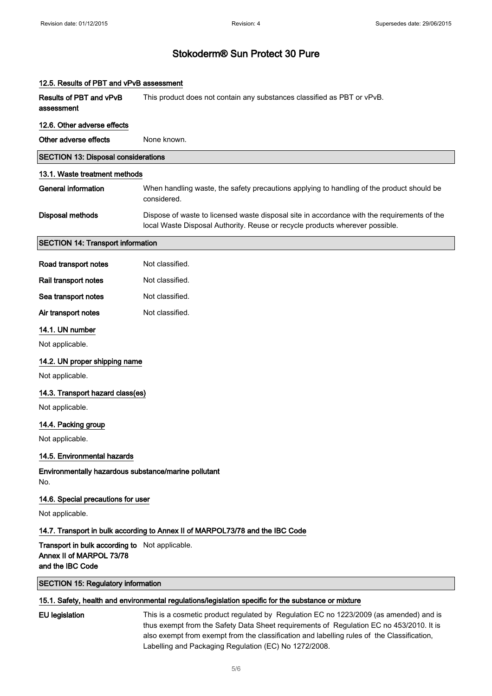| 12.5. Results of PBT and vPvB assessment                                                       |                                                                                                                                                                                                                                                                                 |  |
|------------------------------------------------------------------------------------------------|---------------------------------------------------------------------------------------------------------------------------------------------------------------------------------------------------------------------------------------------------------------------------------|--|
| Results of PBT and vPvB<br>assessment                                                          | This product does not contain any substances classified as PBT or vPvB.                                                                                                                                                                                                         |  |
| 12.6. Other adverse effects                                                                    |                                                                                                                                                                                                                                                                                 |  |
| Other adverse effects                                                                          | None known.                                                                                                                                                                                                                                                                     |  |
| <b>SECTION 13: Disposal considerations</b>                                                     |                                                                                                                                                                                                                                                                                 |  |
| 13.1. Waste treatment methods                                                                  |                                                                                                                                                                                                                                                                                 |  |
| <b>General information</b>                                                                     | When handling waste, the safety precautions applying to handling of the product should be<br>considered.                                                                                                                                                                        |  |
| <b>Disposal methods</b>                                                                        | Dispose of waste to licensed waste disposal site in accordance with the requirements of the<br>local Waste Disposal Authority. Reuse or recycle products wherever possible.                                                                                                     |  |
| <b>SECTION 14: Transport information</b>                                                       |                                                                                                                                                                                                                                                                                 |  |
| Road transport notes                                                                           | Not classified.                                                                                                                                                                                                                                                                 |  |
| Rail transport notes                                                                           | Not classified.                                                                                                                                                                                                                                                                 |  |
| Sea transport notes                                                                            | Not classified.                                                                                                                                                                                                                                                                 |  |
| Air transport notes                                                                            | Not classified.                                                                                                                                                                                                                                                                 |  |
| 14.1. UN number                                                                                |                                                                                                                                                                                                                                                                                 |  |
| Not applicable.                                                                                |                                                                                                                                                                                                                                                                                 |  |
| 14.2. UN proper shipping name                                                                  |                                                                                                                                                                                                                                                                                 |  |
| Not applicable.                                                                                |                                                                                                                                                                                                                                                                                 |  |
| 14.3. Transport hazard class(es)                                                               |                                                                                                                                                                                                                                                                                 |  |
| Not applicable.                                                                                |                                                                                                                                                                                                                                                                                 |  |
| 14.4. Packing group                                                                            |                                                                                                                                                                                                                                                                                 |  |
| Not applicable.                                                                                |                                                                                                                                                                                                                                                                                 |  |
| 14.5. Environmental hazards                                                                    |                                                                                                                                                                                                                                                                                 |  |
| Environmentally hazardous substance/marine pollutant<br>No.                                    |                                                                                                                                                                                                                                                                                 |  |
| 14.6. Special precautions for user                                                             |                                                                                                                                                                                                                                                                                 |  |
| Not applicable.                                                                                |                                                                                                                                                                                                                                                                                 |  |
|                                                                                                | 14.7. Transport in bulk according to Annex II of MARPOL73/78 and the IBC Code                                                                                                                                                                                                   |  |
| Transport in bulk according to Not applicable.<br>Annex II of MARPOL 73/78<br>and the IBC Code |                                                                                                                                                                                                                                                                                 |  |
| <b>SECTION 15: Regulatory information</b>                                                      |                                                                                                                                                                                                                                                                                 |  |
|                                                                                                | 15.1. Safety, health and environmental regulations/legislation specific for the substance or mixture                                                                                                                                                                            |  |
| <b>EU</b> legislation                                                                          | This is a cosmetic product regulated by Regulation EC no 1223/2009 (as amended) and is<br>thus exempt from the Safety Data Sheet requirements of Regulation EC no 453/2010. It is<br>also exempt from exempt from the classification and labelling rules of the Classification, |  |

Labelling and Packaging Regulation (EC) No 1272/2008.